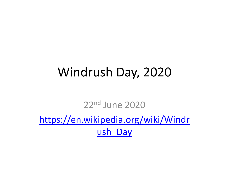## Windrush Day, 2020

22nd June 2020 [https://en.wikipedia.org/wiki/Windr](https://en.wikipedia.org/wiki/Windrush_Day) ush\_Day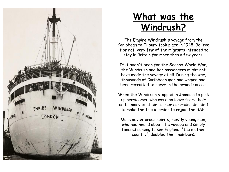

#### **What was the Windrush?**

The Empire Windrush's voyage from the Caribbean to Tilbury took place in 1948. Believe it or not, very few of the migrants intended to stay in Britain for more than a few years.

If it hadn't been for the Second World War, the Windrush and her passengers might not have made the voyage at all. During the war, thousands of Caribbean men and women had been recruited to serve in the armed forces.

When the Windrush stopped in Jamaica to pick up servicemen who were on leave from their units, many of their former comrades decided to make the trip in order to rejoin the RAF.

More adventurous spirits, mostly young men, who had heard about the voyage and simply fancied coming to see England, 'the mother country', doubled their numbers.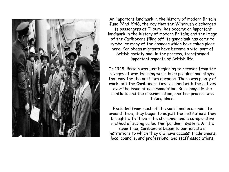

An important landmark in the history of modern Britain June 22nd 1948, the day that the Windrush discharged its passengers at Tilbury, has become an important landmark in the history of modern Britain; and the image of the Caribbeans filing off its gangplank has come to symbolise many of the changes which have taken place here. Caribbean migrants have become a vital part of British society and, in the process, transformed important aspects of British life.

In 1948, Britain was just beginning to recover from the ravages of war. Housing was a huge problem and stayed that way for the next two decades. There was plenty of work, but the Caribbeans first clashed with the natives over the issue of accommodation. But alongside the conflicts and the discrimination, another process was taking place.

Excluded from much of the social and economic life around them, they began to adjust the institutions they brought with them - the churches, and a co-operative method of saving called the 'pardner' system. At the same time, Caribbeans began to participate in institutions to which they did have access: trade unions, local councils, and professional and staff associations.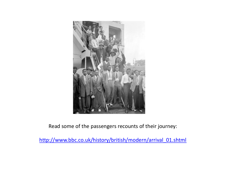

Read some of the passengers recounts of their journey:

[http://www.bbc.co.uk/history/british/modern/arrival\\_01.shtml](http://www.bbc.co.uk/history/british/modern/arrival_01.shtml)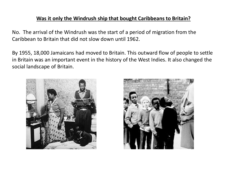#### **Was it only the Windrush ship that bought Caribbeans to Britain?**

No. The arrival of the Windrush was the start of a period of migration from the Caribbean to Britain that did not slow down until 1962.

By 1955, 18,000 Jamaicans had moved to Britain. This outward flow of people to settle in Britain was an important event in the history of the West Indies. It also changed the social landscape of Britain.



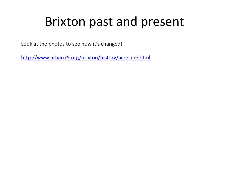## Brixton past and present

Look at the photos to see how it's changed!

<http://www.urban75.org/brixton/history/acrelane.html>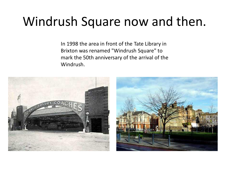# Windrush Square now and then.

In 1998 the area in front of the Tate Library in Brixton was renamed "Windrush Square" to mark the 50th anniversary of the arrival of the Windrush.